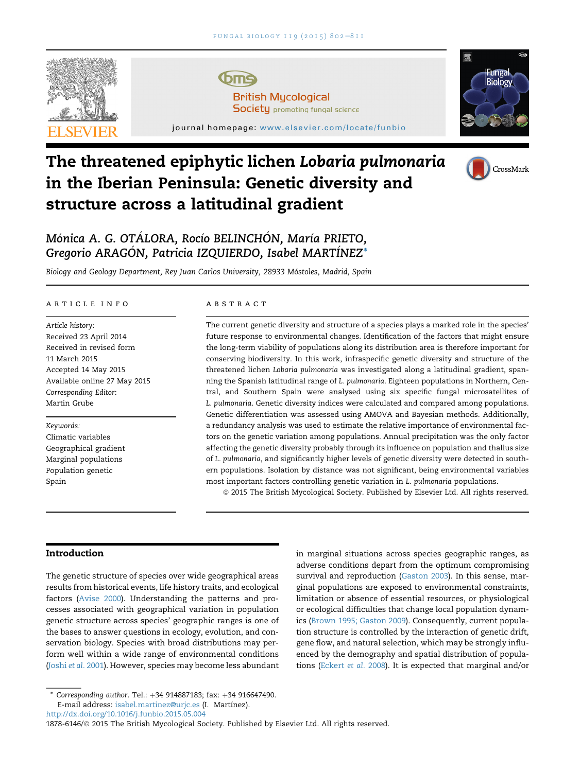

# The threatened epiphytic lichen Lobaria pulmonaria in the Iberian Peninsula: Genetic diversity and structure across a latitudinal gradient



# Mónica A. G. OTÁLORA, Rocío BELINCHÓN, María PRIETO, Gregorio ARAGÓN, Patricia IZQUIERDO, Isabel MARTÍNEZ<sup>\*</sup>

Biology and Geology Department, Rey Juan Carlos University, 28933 Mostoles, Madrid, Spain

#### article info

Article history: Received 23 April 2014 Received in revised form 11 March 2015 Accepted 14 May 2015 Available online 27 May 2015 Corresponding Editor: Martin Grube

Keywords: Climatic variables Geographical gradient Marginal populations Population genetic Spain

# abstract

The current genetic diversity and structure of a species plays a marked role in the species' future response to environmental changes. Identification of the factors that might ensure the long-term viability of populations along its distribution area is therefore important for conserving biodiversity. In this work, infraspecific genetic diversity and structure of the threatened lichen Lobaria pulmonaria was investigated along a latitudinal gradient, spanning the Spanish latitudinal range of L. pulmonaria. Eighteen populations in Northern, Central, and Southern Spain were analysed using six specific fungal microsatellites of L. pulmonaria. Genetic diversity indices were calculated and compared among populations. Genetic differentiation was assessed using AMOVA and Bayesian methods. Additionally, a redundancy analysis was used to estimate the relative importance of environmental factors on the genetic variation among populations. Annual precipitation was the only factor affecting the genetic diversity probably through its influence on population and thallus size of L. pulmonaria, and significantly higher levels of genetic diversity were detected in southern populations. Isolation by distance was not significant, being environmental variables most important factors controlling genetic variation in L. pulmonaria populations.

ª 2015 The British Mycological Society. Published by Elsevier Ltd. All rights reserved.

# Introduction

The genetic structure of species over wide geographical areas results from historical events, life history traits, and ecological factors [\(Avise 2000](#page-8-0)). Understanding the patterns and processes associated with geographical variation in population genetic structure across species' geographic ranges is one of the bases to answer questions in ecology, evolution, and conservation biology. Species with broad distributions may perform well within a wide range of environmental conditions ([Joshi](#page-8-0) et al. 2001). However, species may become less abundant

1878-6146/@ 2015 The British Mycological Society. Published by Elsevier Ltd. All rights reserved.

in marginal situations across species geographic ranges, as adverse conditions depart from the optimum compromising survival and reproduction [\(Gaston 2003](#page-8-0)). In this sense, marginal populations are exposed to environmental constraints, limitation or absence of essential resources, or physiological or ecological difficulties that change local population dynamics ([Brown 1995; Gaston 2009\)](#page-8-0). Consequently, current population structure is controlled by the interaction of genetic drift, gene flow, and natural selection, which may be strongly influenced by the demography and spatial distribution of populations [\(Eckert](#page-8-0) et al. 2008). It is expected that marginal and/or

Corresponding author. Tel.: +34 914887183; fax: +34 916647490. E-mail address: [isabel.martinez@urjc.es](mailto:isabel.martinez@urjc.es) (I. Martínez). <http://dx.doi.org/10.1016/j.funbio.2015.05.004>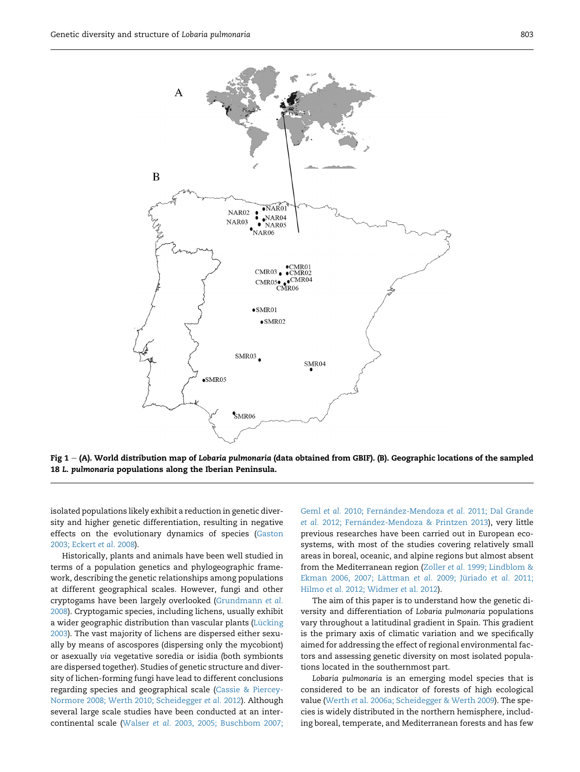<span id="page-1-0"></span>

Fig  $1 - (A)$ . World distribution map of Lobaria pulmonaria (data obtained from GBIF). (B). Geographic locations of the sampled 18 L. pulmonaria populations along the Iberian Peninsula.

isolated populations likely exhibit a reduction in genetic diversity and higher genetic differentiation, resulting in negative effects on the evolutionary dynamics of species ([Gaston](#page-8-0) [2003; Eckert](#page-8-0) et al. 2008).

Historically, plants and animals have been well studied in terms of a population genetics and phylogeographic framework, describing the genetic relationships among populations at different geographical scales. However, fungi and other cryptogams have been largely overlooked ([Grundmann](#page-8-0) et al. [2008](#page-8-0)). Cryptogamic species, including lichens, usually exhibit a wider geographic distribution than vascular plants (Lücking [2003](#page-9-0)). The vast majority of lichens are dispersed either sexually by means of ascospores (dispersing only the mycobiont) or asexually via vegetative soredia or isidia (both symbionts are dispersed together). Studies of genetic structure and diversity of lichen-forming fungi have lead to different conclusions regarding species and geographical scale ([Cassie & Piercey-](#page-8-0)[Normore 2008; Werth 2010; Scheidegger](#page-8-0) et al. 2012). Although several large scale studies have been conducted at an intercontinental scale (Walser et al. [2003, 2005; Buschbom 2007;](#page-9-0) Geml et al. [2010; Fern](#page-9-0)ández-Mendoza et al. [2011; Dal Grande](#page-9-0) et al. [2012; Fern](#page-9-0)á[ndez-Mendoza & Printzen 2013](#page-9-0)), very little previous researches have been carried out in European ecosystems, with most of the studies covering relatively small areas in boreal, oceanic, and alpine regions but almost absent from the Mediterranean region (Zoller et al. [1999; Lindblom &](#page-9-0) [Ekman 2006, 2007; L](#page-9-0)ättman et al. 2009; Jüriado et al. 2011; Hilmo et al. [2012; Widmer](#page-9-0) et al. 2012).

The aim of this paper is to understand how the genetic diversity and differentiation of Lobaria pulmonaria populations vary throughout a latitudinal gradient in Spain. This gradient is the primary axis of climatic variation and we specifically aimed for addressing the effect of regional environmental factors and assessing genetic diversity on most isolated populations located in the southernmost part.

Lobaria pulmonaria is an emerging model species that is considered to be an indicator of forests of high ecological value (Werth et [al. 2006a; Scheidegger & Werth 2009\)](#page-9-0). The species is widely distributed in the northern hemisphere, including boreal, temperate, and Mediterranean forests and has few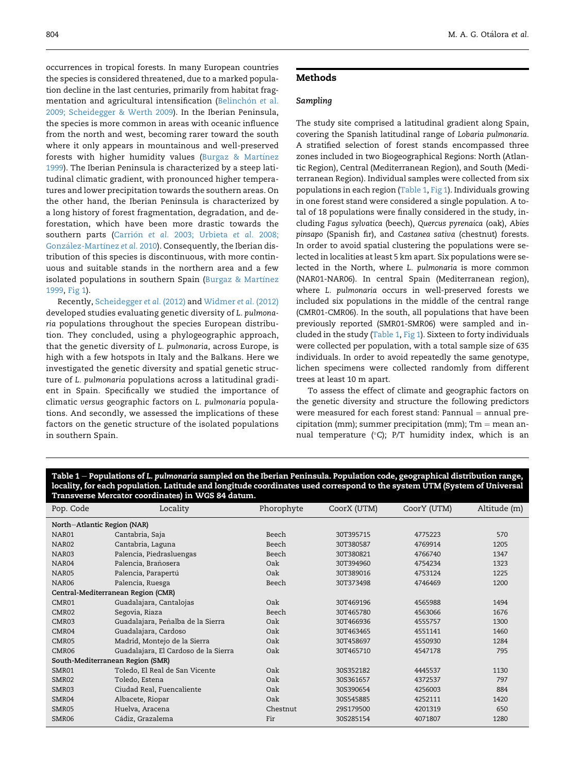occurrences in tropical forests. In many European countries the species is considered threatened, due to a marked population decline in the last centuries, primarily from habitat fragmentation and agricultural intensification (Belinchón et [al.](#page-8-0) [2009; Scheidegger & Werth 2009\)](#page-8-0). In the Iberian Peninsula, the species is more common in areas with oceanic influence from the north and west, becoming rarer toward the south where it only appears in mountainous and well-preserved forests with higher humidity values ([Burgaz & Mart](#page-8-0)ínez [1999](#page-8-0)). The Iberian Peninsula is characterized by a steep latitudinal climatic gradient, with pronounced higher temperatures and lower precipitation towards the southern areas. On the other hand, the Iberian Peninsula is characterized by a long history of forest fragmentation, degradation, and deforestation, which have been more drastic towards the southern parts (Carrión et al. [2003; Urbieta](#page-8-0) et al. 2008; González-Martínez et al. [2010](#page-8-0)). Consequently, the Iberian distribution of this species is discontinuous, with more continuous and suitable stands in the northern area and a few isolated populations in southern Spain ([Burgaz & Mart](#page-8-0)ínez [1999](#page-8-0), [Fig 1](#page-1-0)).

Recently, [Scheidegger](#page-9-0) et al. (2012) and [Widmer](#page-9-0) et al. (2012) developed studies evaluating genetic diversity of L. pulmonaria populations throughout the species European distribution. They concluded, using a phylogeographic approach, that the genetic diversity of L. pulmonaria, across Europe, is high with a few hotspots in Italy and the Balkans. Here we investigated the genetic diversity and spatial genetic structure of L. pulmonaria populations across a latitudinal gradient in Spain. Specifically we studied the importance of climatic versus geographic factors on L. pulmonaria populations. And secondly, we assessed the implications of these factors on the genetic structure of the isolated populations in southern Spain.

# Methods

# Sampling

The study site comprised a latitudinal gradient along Spain, covering the Spanish latitudinal range of Lobaria pulmonaria. A stratified selection of forest stands encompassed three zones included in two Biogeographical Regions: North (Atlantic Region), Central (Mediterranean Region), and South (Mediterranean Region). Individual samples were collected from six populations in each region (Table 1, [Fig 1](#page-1-0)). Individuals growing in one forest stand were considered a single population. A total of 18 populations were finally considered in the study, including Fagus sylvatica (beech), Quercus pyrenaica (oak), Abies pinsapo (Spanish fir), and Castanea sativa (chestnut) forests. In order to avoid spatial clustering the populations were selected in localities at least 5 km apart. Six populations were selected in the North, where L. pulmonaria is more common (NAR01-NAR06). In central Spain (Mediterranean region), where L. pulmonaria occurs in well-preserved forests we included six populations in the middle of the central range (CMR01-CMR06). In the south, all populations that have been previously reported (SMR01-SMR06) were sampled and included in the study (Table 1, [Fig 1](#page-1-0)). Sixteen to forty individuals were collected per population, with a total sample size of 635 individuals. In order to avoid repeatedly the same genotype, lichen specimens were collected randomly from different trees at least 10 m apart.

To assess the effect of climate and geographic factors on the genetic diversity and structure the following predictors were measured for each forest stand: Pannual  $=$  annual precipitation (mm); summer precipitation (mm);  $Tm =$  mean annual temperature (°C);  $P/T$  humidity index, which is an

| Table $1$ – Populations of L. pulmonaria sampled on the Iberian Peninsula. Population code, geographical distribution range, |  |  |
|------------------------------------------------------------------------------------------------------------------------------|--|--|
| locality, for each population. Latitude and longitude coordinates used correspond to the system UTM (System of Universal     |  |  |
| Transverse Mercator coordinates) in WGS 84 datum.                                                                            |  |  |

| Pop. Code                        | Locality                             | Phorophyte | CoorX (UTM) | CoorY (UTM) | Altitude (m) |
|----------------------------------|--------------------------------------|------------|-------------|-------------|--------------|
| North-Atlantic Region (NAR)      |                                      |            |             |             |              |
| NAR01                            | Cantabria, Saja                      | Beech      | 30T395715   | 4775223     | 570          |
| NAR <sub>02</sub>                | Cantabria, Laguna                    | Beech      | 30T380587   | 4769914     | 1205         |
| NAR03                            | Palencia, Piedrasluengas             | Beech      | 30T380821   | 4766740     | 1347         |
| NAR04                            | Palencia, Brañosera                  | Oak        | 30T394960   | 4754234     | 1323         |
| NAR05                            | Palencia, Parapertú                  | Oak        | 30T389016   | 4753124     | 1225         |
| NAR <sub>06</sub>                | Palencia, Ruesga                     | Beech      | 30T373498   | 4746469     | 1200         |
|                                  | Central-Mediterranean Region (CMR)   |            |             |             |              |
| CMR01                            | Guadalajara, Cantalojas              | Oak        | 30T469196   | 4565988     | 1494         |
| CMR02                            | Segovia, Riaza                       | Beech      | 30T465780   | 4563066     | 1676         |
| CMR <sub>03</sub>                | Guadalajara, Peñalba de la Sierra    | Oak        | 30T466936   | 4555757     | 1300         |
| CMR04                            | Guadalajara, Cardoso                 | Oak        | 30T463465   | 4551141     | 1460         |
| CMR05                            | Madrid, Montejo de la Sierra         | Oak        | 30T458697   | 4550930     | 1284         |
| CMR06                            | Guadalajara, El Cardoso de la Sierra | Oak        | 30T465710   | 4547178     | 795          |
| South-Mediterranean Region (SMR) |                                      |            |             |             |              |
| SMR01                            | Toledo, El Real de San Vicente       | Oak        | 30S352182   | 4445537     | 1130         |
| SMR02                            | Toledo, Estena                       | Oak        | 30S361657   | 4372537     | 797          |
| SMR03                            | Ciudad Real, Fuencaliente            | Oak        | 30S390654   | 4256003     | 884          |
| SMR04                            | Albacete, Riopar                     | Oak        | 30S545885   | 4252111     | 1420         |
| SMR05                            | Huelva, Aracena                      | Chestnut   | 29S179500   | 4201319     | 650          |
| SMR <sub>06</sub>                | Cádiz, Grazalema                     | Fir        | 30S285154   | 4071807     | 1280         |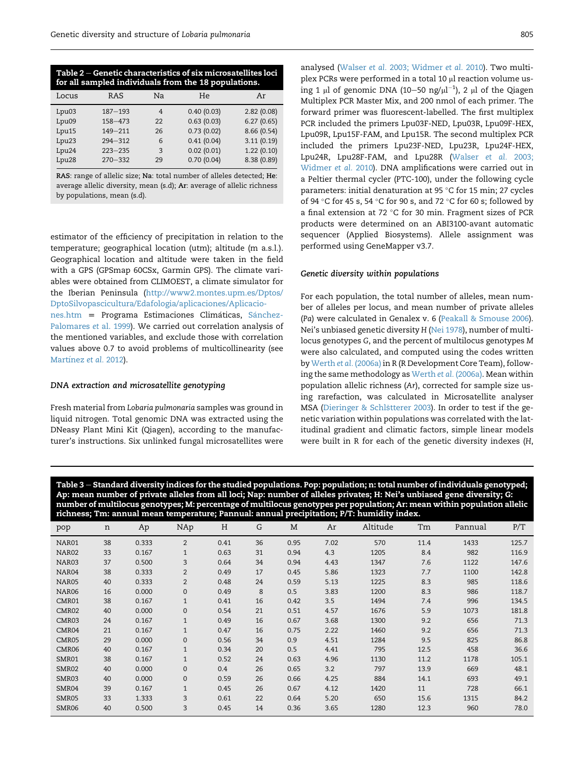<span id="page-3-0"></span>

| Table 2 – Genetic characteristics of six microsatellites loci<br>for all sampled individuals from the 18 populations. |                      |                |            |             |  |
|-----------------------------------------------------------------------------------------------------------------------|----------------------|----------------|------------|-------------|--|
| Locus                                                                                                                 | RAS                  | Na             | He         | Ar          |  |
| Lpu03                                                                                                                 | $187 - 193$          | $\overline{4}$ | 0.40(0.03) | 2.82(0.08)  |  |
| Lpu09                                                                                                                 | $158 - 473$          | 22             | 0.63(0.03) | 6.27(0.65)  |  |
| Lpu15                                                                                                                 | $149 - 211$          | 26             | 0.73(0.02) | 8.66 (0.54) |  |
| Lpu <sub>23</sub>                                                                                                     | $294 - 312$          | 6              | 0.41(0.04) | 3.11(0.19)  |  |
| Lpu <sub>24</sub>                                                                                                     | $223 - 235$          | 3              | 0.02(0.01) | 1.22(0.10)  |  |
| Lpu <sub>28</sub>                                                                                                     | $270 - 332$          | 29             | 0.70(0.04) | 8.38 (0.89) |  |
|                                                                                                                       | $\sim$ $\sim$ $\sim$ |                | .          |             |  |

RAS: range of allelic size; Na: total number of alleles detected; He: average allelic diversity, mean (s.d); Ar: average of allelic richness by populations, mean (s.d).

estimator of the efficiency of precipitation in relation to the temperature; geographical location (utm); altitude (m a.s.l.). Geographical location and altitude were taken in the field with a GPS (GPSmap 60CSx, Garmin GPS). The climate variables were obtained from CLIMOEST, a climate simulator for the Iberian Peninsula ([http://www2.montes.upm.es/Dptos/](http://www2.montes.upm.es/Dptos/DptoSilvopascicultura/Edafologia/aplicaciones/Aplicaciones.htm) [DptoSilvopascicultura/Edafologia/aplicaciones/Aplicacio](http://www2.montes.upm.es/Dptos/DptoSilvopascicultura/Edafologia/aplicaciones/Aplicaciones.htm)[nes.htm](http://www2.montes.upm.es/Dptos/DptoSilvopascicultura/Edafologia/aplicaciones/Aplicaciones.htm) = Programa Estimaciones Climáticas, Sánchez-[Palomares](#page-9-0) et al. 1999). We carried out correlation analysis of the mentioned variables, and exclude those with correlation values above 0.7 to avoid problems of multicollinearity (see [Mart](#page-9-0)ínez et al. [2012\)](#page-9-0).

#### DNA extraction and microsatellite genotyping

Fresh material from Lobaria pulmonaria samples was ground in liquid nitrogen. Total genomic DNA was extracted using the DNeasy Plant Mini Kit (Qiagen), according to the manufacturer's instructions. Six unlinked fungal microsatellites were

analysed (Walser et al. [2003; Widmer](#page-9-0) et al. 2010). Two multiplex PCRs were performed in a total 10 µl reaction volume using 1  $\mu$ l of genomic DNA (10–50 ng/ $\mu$ l $^{-1}$ ), 2  $\mu$ l of the Qiagen Multiplex PCR Master Mix, and 200 nmol of each primer. The forward primer was fluorescent-labelled. The first multiplex PCR included the primers Lpu03F-NED, Lpu03R, Lpu09F-HEX, Lpu09R, Lpu15F-FAM, and Lpu15R. The second multiplex PCR included the primers Lpu23F-NED, Lpu23R, Lpu24F-HEX, Lpu24R, Lpu28F-FAM, and Lpu28R [\(Walser](#page-9-0) et al. 2003; [Widmer](#page-9-0) et al. 2010). DNA amplifications were carried out in a Peltier thermal cycler (PTC-100), under the following cycle parameters: initial denaturation at 95 °C for 15 min; 27 cycles of 94  $^{\circ}$ C for 45 s, 54  $^{\circ}$ C for 90 s, and 72  $^{\circ}$ C for 60 s; followed by a final extension at 72  $^{\circ}$ C for 30 min. Fragment sizes of PCR products were determined on an ABI3100-avant automatic sequencer (Applied Biosystems). Allele assignment was performed using GeneMapper v3.7.

#### Genetic diversity within populations

For each population, the total number of alleles, mean number of alleles per locus, and mean number of private alleles (Pa) were calculated in Genalex v. 6 [\(Peakall & Smouse 2006](#page-9-0)). Nei's unbiased genetic diversity H ([Nei 1978](#page-9-0)), number of multilocus genotypes G, and the percent of multilocus genotypes M were also calculated, and computed using the codes written by Werth et al. [\(2006a\)](#page-9-0) in R (R Development Core Team), following the same methodology as Werth et al. [\(2006a\)](#page-9-0). Mean within population allelic richness (Ar), corrected for sample size using rarefaction, was calculated in Microsatellite analyser MSA [\(Dieringer & Schl](#page-8-0)s[tterer 2003\)](#page-8-0). In order to test if the genetic variation within populations was correlated with the latitudinal gradient and climatic factors, simple linear models were built in R for each of the genetic diversity indexes (H,

Table 3 – Standard diversity indices for the studied populations. Pop: population; n: total number of individuals genotyped; Ap: mean number of private alleles from all loci; Nap: number of alleles privates; H: Nei's unbiased gene diversity; G: number of multilocus genotypes; M: percentage of multilocus genotypes per population; Ar: mean within population allelic richness; Tm: annual mean temperature; Pannual: annual precipitation; P/T: humidity index.

| pop   | n  | Ap    | NAp            | Н    | G  | M    | Ar   | Altitude | Tm   | Pannual | P/T   |
|-------|----|-------|----------------|------|----|------|------|----------|------|---------|-------|
| NAR01 | 38 | 0.333 | 2              | 0.41 | 36 | 0.95 | 7.02 | 570      | 11.4 | 1433    | 125.7 |
| NAR02 | 33 | 0.167 | $\mathbf{1}$   | 0.63 | 31 | 0.94 | 4.3  | 1205     | 8.4  | 982     | 116.9 |
| NAR03 | 37 | 0.500 | 3              | 0.64 | 34 | 0.94 | 4.43 | 1347     | 7.6  | 1122    | 147.6 |
| NAR04 | 38 | 0.333 | $\overline{2}$ | 0.49 | 17 | 0.45 | 5.86 | 1323     | 7.7  | 1100    | 142.8 |
| NAR05 | 40 | 0.333 | $\overline{2}$ | 0.48 | 24 | 0.59 | 5.13 | 1225     | 8.3  | 985     | 118.6 |
| NAR06 | 16 | 0.000 | $\mathbf{0}$   | 0.49 | 8  | 0.5  | 3.83 | 1200     | 8.3  | 986     | 118.7 |
| CMR01 | 38 | 0.167 | $\mathbf{1}$   | 0.41 | 16 | 0.42 | 3.5  | 1494     | 7.4  | 996     | 134.5 |
| CMR02 | 40 | 0.000 | $\mathbf{0}$   | 0.54 | 21 | 0.51 | 4.57 | 1676     | 5.9  | 1073    | 181.8 |
| CMR03 | 24 | 0.167 | $\mathbf{1}$   | 0.49 | 16 | 0.67 | 3.68 | 1300     | 9.2  | 656     | 71.3  |
| CMR04 | 21 | 0.167 | $\mathbf{1}$   | 0.47 | 16 | 0.75 | 2.22 | 1460     | 9.2  | 656     | 71.3  |
| CMR05 | 29 | 0.000 | $\mathbf{0}$   | 0.56 | 34 | 0.9  | 4.51 | 1284     | 9.5  | 825     | 86.8  |
| CMR06 | 40 | 0.167 | $\mathbf{1}$   | 0.34 | 20 | 0.5  | 4.41 | 795      | 12.5 | 458     | 36.6  |
| SMR01 | 38 | 0.167 | $\mathbf{1}$   | 0.52 | 24 | 0.63 | 4.96 | 1130     | 11.2 | 1178    | 105.1 |
| SMR02 | 40 | 0.000 | $\mathbf 0$    | 0.4  | 26 | 0.65 | 3.2  | 797      | 13.9 | 669     | 48.1  |
| SMR03 | 40 | 0.000 | $\mathbf 0$    | 0.59 | 26 | 0.66 | 4.25 | 884      | 14.1 | 693     | 49.1  |
| SMR04 | 39 | 0.167 | $\mathbf{1}$   | 0.45 | 26 | 0.67 | 4.12 | 1420     | 11   | 728     | 66.1  |
| SMR05 | 33 | 1.333 | 3              | 0.61 | 22 | 0.64 | 5.20 | 650      | 15.6 | 1315    | 84.2  |
| SMR06 | 40 | 0.500 | 3              | 0.45 | 14 | 0.36 | 3.65 | 1280     | 12.3 | 960     | 78.0  |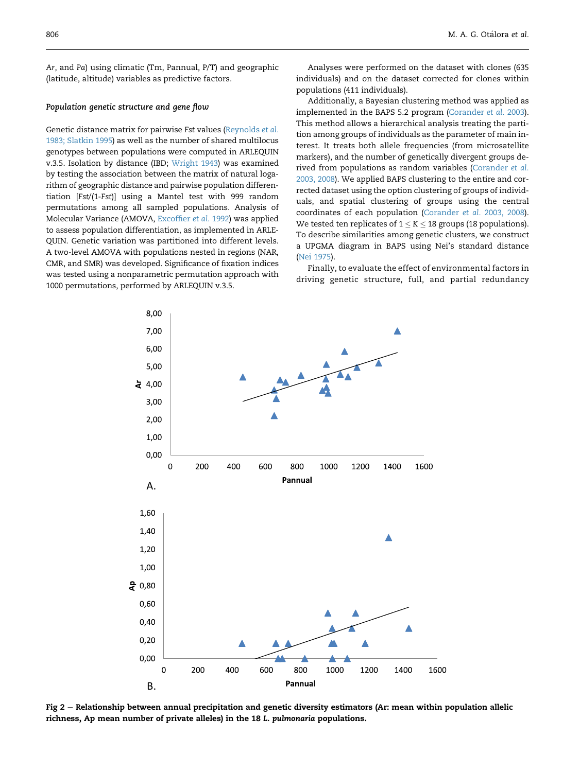<span id="page-4-0"></span>Ar, and Pa) using climatic (Tm, Pannual, P/T) and geographic (latitude, altitude) variables as predictive factors.

#### Population genetic structure and gene flow

Genetic distance matrix for pairwise Fst values ([Reynolds](#page-9-0) et al. [1983; Slatkin 1995](#page-9-0)) as well as the number of shared multilocus genotypes between populations were computed in ARLEQUIN v.3.5. Isolation by distance (IBD; [Wright 1943\)](#page-9-0) was examined by testing the association between the matrix of natural logarithm of geographic distance and pairwise population differentiation [Fst/(1-Fst)] using a Mantel test with 999 random permutations among all sampled populations. Analysis of Molecular Variance (AMOVA, [Excoffier](#page-8-0) et al. 1992) was applied to assess population differentiation, as implemented in ARLE-QUIN. Genetic variation was partitioned into different levels. A two-level AMOVA with populations nested in regions (NAR, CMR, and SMR) was developed. Significance of fixation indices was tested using a nonparametric permutation approach with 1000 permutations, performed by ARLEQUIN v.3.5.

Analyses were performed on the dataset with clones (635 individuals) and on the dataset corrected for clones within populations (411 individuals).

Additionally, a Bayesian clustering method was applied as implemented in the BAPS 5.2 program [\(Corander](#page-8-0) et al. 2003). This method allows a hierarchical analysis treating the partition among groups of individuals as the parameter of main interest. It treats both allele frequencies (from microsatellite markers), and the number of genetically divergent groups derived from populations as random variables ([Corander](#page-8-0) et al. [2003, 2008\)](#page-8-0). We applied BAPS clustering to the entire and corrected dataset using the option clustering of groups of individuals, and spatial clustering of groups using the central coordinates of each population (Corander et al. [2003, 2008\)](#page-8-0). We tested ten replicates of  $1 \leq K \leq 18$  groups (18 populations). To describe similarities among genetic clusters, we construct a UPGMA diagram in BAPS using Nei's standard distance ([Nei 1975\)](#page-9-0).

Finally, to evaluate the effect of environmental factors in driving genetic structure, full, and partial redundancy



Fig  $2$  – Relationship between annual precipitation and genetic diversity estimators (Ar: mean within population allelic richness, Ap mean number of private alleles) in the 18 L. pulmonaria populations.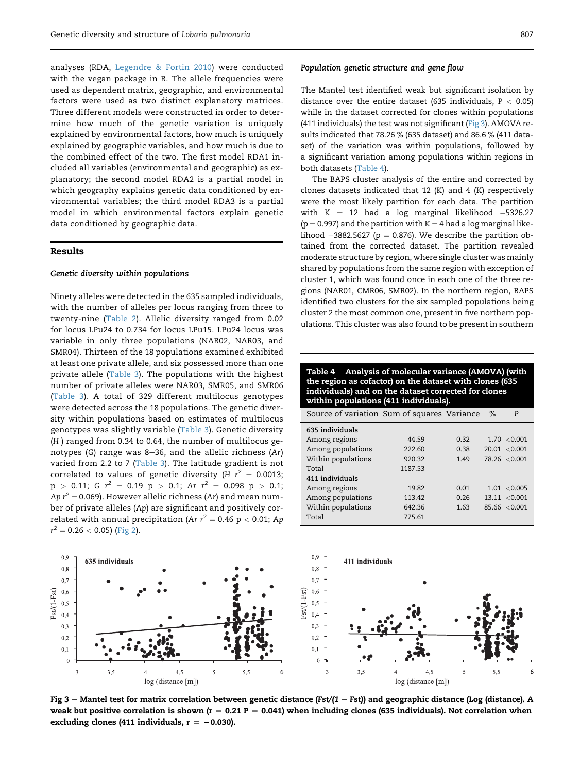analyses (RDA, [Legendre & Fortin 2010\)](#page-8-0) were conducted with the vegan package in R. The allele frequencies were used as dependent matrix, geographic, and environmental factors were used as two distinct explanatory matrices. Three different models were constructed in order to determine how much of the genetic variation is uniquely explained by environmental factors, how much is uniquely explained by geographic variables, and how much is due to the combined effect of the two. The first model RDA1 included all variables (environmental and geographic) as explanatory; the second model RDA2 is a partial model in which geography explains genetic data conditioned by environmental variables; the third model RDA3 is a partial model in which environmental factors explain genetic data conditioned by geographic data.

# Results

#### Genetic diversity within populations

Ninety alleles were detected in the 635 sampled individuals, with the number of alleles per locus ranging from three to twenty-nine ([Table 2\)](#page-3-0). Allelic diversity ranged from 0.02 for locus LPu24 to 0.734 for locus LPu15. LPu24 locus was variable in only three populations (NAR02, NAR03, and SMR04). Thirteen of the 18 populations examined exhibited at least one private allele, and six possessed more than one private allele ([Table 3\)](#page-3-0). The populations with the highest number of private alleles were NAR03, SMR05, and SMR06 ([Table 3](#page-3-0)). A total of 329 different multilocus genotypes were detected across the 18 populations. The genetic diversity within populations based on estimates of multilocus genotypes was slightly variable ([Table 3\)](#page-3-0). Genetic diversity (H ) ranged from 0.34 to 0.64, the number of multilocus genotypes (G) range was 8-36, and the allelic richness (Ar) varied from 2.2 to 7 [\(Table 3](#page-3-0)). The latitude gradient is not correlated to values of genetic diversity (H  $r^2 = 0.0013$ ;  $p > 0.11$ ; G  $r^2 = 0.19$   $p > 0.1$ ; Ar  $r^2 = 0.098$   $p > 0.1$ ; Ap  $r^2$  = 0.069). However allelic richness (Ar) and mean number of private alleles (Ap) are significant and positively correlated with annual precipitation (Ar  $r^2 = 0.46$  p < 0.01; Ap  $r^2 = 0.26 < 0.05$ ) ([Fig 2\)](#page-4-0).

#### Population genetic structure and gene flow

The Mantel test identified weak but significant isolation by distance over the entire dataset (635 individuals,  $P < 0.05$ ) while in the dataset corrected for clones within populations (411 individuals) the test was not significant ( $Fig 3$ ). AMOVA results indicated that 78.26 % (635 dataset) and 86.6 % (411 dataset) of the variation was within populations, followed by a significant variation among populations within regions in both datasets (Table 4).

The BAPS cluster analysis of the entire and corrected by clones datasets indicated that 12 (K) and 4 (K) respectively were the most likely partition for each data. The partition with  $K = 12$  had a log marginal likelihood  $-5326.27$  $(p = 0.997)$  and the partition with  $K = 4$  had a log marginal likelihood  $-3882.5627$  (p = 0.876). We describe the partition obtained from the corrected dataset. The partition revealed moderate structure by region, where single cluster was mainly shared by populations from the same region with exception of cluster 1, which was found once in each one of the three regions (NAR01, CMR06, SMR02). In the northern region, BAPS identified two clusters for the six sampled populations being cluster 2 the most common one, present in five northern populations. This cluster was also found to be present in southern

Table 4 - Analysis of molecular variance (AMOVA) (with the region as cofactor) on the dataset with clones (635 individuals) and on the dataset corrected for clones within populations (411 individuals).

| Source of variation Sum of squares Variance |         |      | ℅ | P                 |
|---------------------------------------------|---------|------|---|-------------------|
| 635 individuals                             |         |      |   |                   |
| Among regions                               | 44.59   | 0.32 |   | 1.70 < 0.001      |
| Among populations                           | 222.60  | 0.38 |   | $20.01 \le 0.001$ |
| Within populations                          | 920.32  | 1.49 |   | 78.26 < 0.001     |
| Total                                       | 1187.53 |      |   |                   |
| 411 individuals                             |         |      |   |                   |
| Among regions                               | 19.82   | 0.01 |   | 1.01 < 0.005      |
| Among populations                           | 113.42  | 0.26 |   | 13.11 < 0.001     |
| Within populations                          | 642.36  | 1.63 |   | 85.66 < 0.001     |
| Total                                       | 775.61  |      |   |                   |



Fig 3 – Mantel test for matrix correlation between genetic distance (Fst/(1 – Fst)) and geographic distance (Log (distance). A weak but positive correlation is shown ( $r = 0.21$  P = 0.041) when including clones (635 individuals). Not correlation when excluding clones (411 individuals,  $r = -0.030$ ).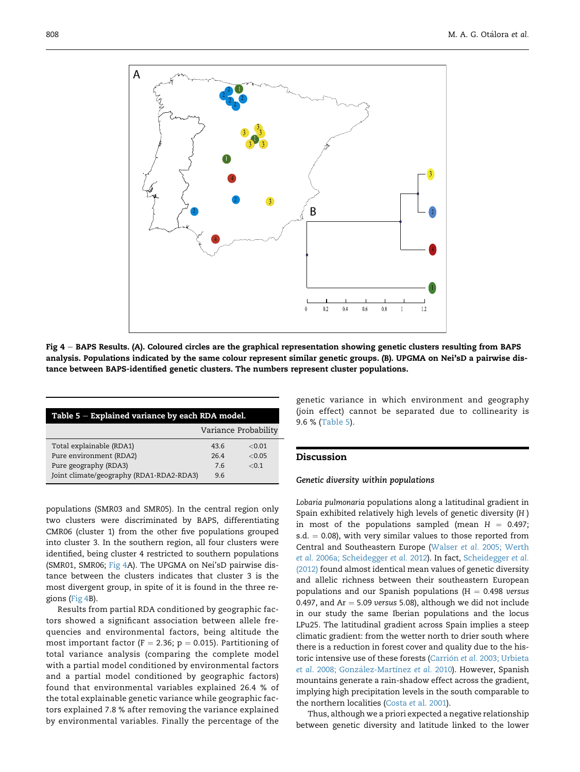<span id="page-6-0"></span>

Fig  $4 -$  BAPS Results. (A). Coloured circles are the graphical representation showing genetic clusters resulting from BAPS analysis. Populations indicated by the same colour represent similar genetic groups. (B). UPGMA on Nei'sD a pairwise distance between BAPS-identified genetic clusters. The numbers represent cluster populations.

| Table $5$ – Explained variance by each RDA model. |                      |       |  |  |  |
|---------------------------------------------------|----------------------|-------|--|--|--|
|                                                   | Variance Probability |       |  |  |  |
| Total explainable (RDA1)                          | 43.6                 | <0.01 |  |  |  |
| Pure environment (RDA2)                           | 264                  | <0.05 |  |  |  |
| Pure geography (RDA3)                             | 76                   | < 0.1 |  |  |  |
| Joint climate/geography (RDA1-RDA2-RDA3)          | 9.6                  |       |  |  |  |

populations (SMR03 and SMR05). In the central region only two clusters were discriminated by BAPS, differentiating CMR06 (cluster 1) from the other five populations grouped into cluster 3. In the southern region, all four clusters were identified, being cluster 4 restricted to southern populations (SMR01, SMR06; Fig 4A). The UPGMA on Nei'sD pairwise distance between the clusters indicates that cluster 3 is the most divergent group, in spite of it is found in the three regions (Fig 4B).

Results from partial RDA conditioned by geographic factors showed a significant association between allele frequencies and environmental factors, being altitude the most important factor ( $F = 2.36$ ;  $p = 0.015$ ). Partitioning of total variance analysis (comparing the complete model with a partial model conditioned by environmental factors and a partial model conditioned by geographic factors) found that environmental variables explained 26.4 % of the total explainable genetic variance while geographic factors explained 7.8 % after removing the variance explained by environmental variables. Finally the percentage of the

genetic variance in which environment and geography (join effect) cannot be separated due to collinearity is 9.6 % (Table 5).

# Discussion

#### Genetic diversity within populations

Lobaria pulmonaria populations along a latitudinal gradient in Spain exhibited relatively high levels of genetic diversity (H ) in most of the populations sampled (mean  $H = 0.497$ ; s.d.  $= 0.08$ ), with very similar values to those reported from Central and Southeastern Europe (Walser et al. [2005; Werth](#page-9-0) et al. [2006a; Scheidegger](#page-9-0) et al. 2012). In fact, [Scheidegger](#page-9-0) et al. [\(2012\)](#page-9-0) found almost identical mean values of genetic diversity and allelic richness between their southeastern European populations and our Spanish populations ( $H = 0.498$  versus 0.497, and  $Ar = 5.09$  versus 5.08), although we did not include in our study the same Iberian populations and the locus LPu25. The latitudinal gradient across Spain implies a steep climatic gradient: from the wetter north to drier south where there is a reduction in forest cover and quality due to the his-toric intensive use of these forests ([Carri](#page-8-0)ón et al. [2003; Urbieta](#page-8-0) [et al.](#page-8-0) 2008; González-Martínez et al. 2010). However, Spanish mountains generate a rain-shadow effect across the gradient, implying high precipitation levels in the south comparable to the northern localities (Costa et [al. 2001\)](#page-8-0).

Thus, although we a priori expected a negative relationship between genetic diversity and latitude linked to the lower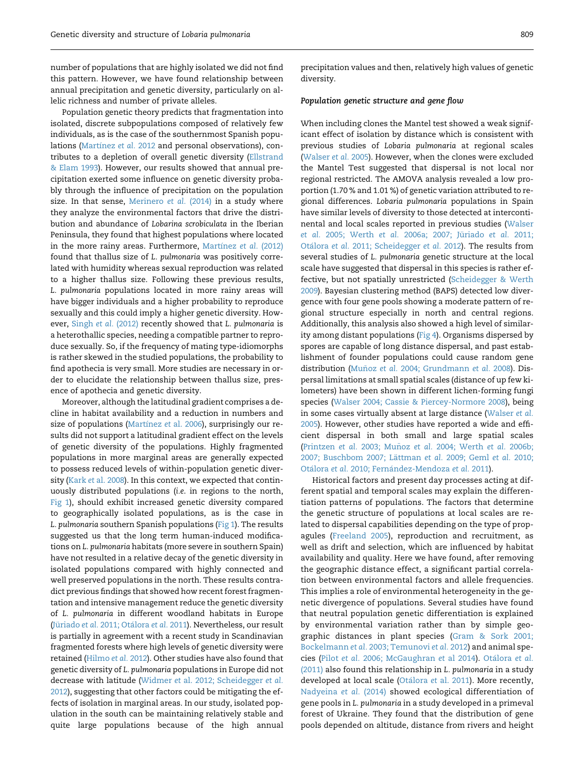number of populations that are highly isolated we did not find this pattern. However, we have found relationship between annual precipitation and genetic diversity, particularly on allelic richness and number of private alleles.

Population genetic theory predicts that fragmentation into isolated, discrete subpopulations composed of relatively few individuals, as is the case of the southernmost Spanish popu-lations ([Mart](#page-9-0)ínez [et al.](#page-9-0) 2012 and personal observations), contributes to a depletion of overall genetic diversity [\(Ellstrand](#page-8-0) [& Elam 1993\)](#page-8-0). However, our results showed that annual precipitation exerted some influence on genetic diversity probably through the influence of precipitation on the population size. In that sense, [Merinero](#page-9-0) et al. (2014) in a study where they analyze the environmental factors that drive the distribution and abundance of Lobarina scrobiculata in the Iberian Peninsula, they found that highest populations where located in the more rainy areas. Furthermore, [Mart](#page-9-0)ínez et al. [\(2012\)](#page-9-0) found that thallus size of L. pulmonaria was positively correlated with humidity whereas sexual reproduction was related to a higher thallus size. Following these previous results, L. pulmonaria populations located in more rainy areas will have bigger individuals and a higher probability to reproduce sexually and this could imply a higher genetic diversity. However, Singh et al. [\(2012\)](#page-9-0) recently showed that L. pulmonaria is a heterothallic species, needing a compatible partner to reproduce sexually. So, if the frequency of mating type-idiomorphs is rather skewed in the studied populations, the probability to find apothecia is very small. More studies are necessary in order to elucidate the relationship between thallus size, presence of apothecia and genetic diversity.

Moreover, although the latitudinal gradient comprises a decline in habitat availability and a reduction in numbers and size of populations [\(Mart](#page-9-0)ínez et [al. 2006\)](#page-9-0), surprisingly our results did not support a latitudinal gradient effect on the levels of genetic diversity of the populations. Highly fragmented populations in more marginal areas are generally expected to possess reduced levels of within-population genetic diversity (Kark et [al. 2008\)](#page-8-0). In this context, we expected that continuously distributed populations (i.e. in regions to the north, [Fig 1](#page-1-0)), should exhibit increased genetic diversity compared to geographically isolated populations, as is the case in L. pulmonaria southern Spanish populations ([Fig 1](#page-1-0)). The results suggested us that the long term human-induced modifications on L. pulmonaria habitats (more severe in southern Spain) have not resulted in a relative decay of the genetic diversity in isolated populations compared with highly connected and well preserved populations in the north. These results contradict previous findings that showed how recent forest fragmentation and intensive management reduce the genetic diversity of L. pulmonaria in different woodland habitats in Europe (Jüriado et al. [2011](#page-8-0); Otálora et al. 2011). Nevertheless, our result is partially in agreement with a recent study in Scandinavian fragmented forests where high levels of genetic diversity were retained ([Hilmo](#page-8-0) et al. 2012). Other studies have also found that genetic diversity of L. pulmonaria populations in Europe did not decrease with latitude (Widmer et [al. 2012; Scheidegger](#page-9-0) et al. [2012](#page-9-0)), suggesting that other factors could be mitigating the effects of isolation in marginal areas. In our study, isolated population in the south can be maintaining relatively stable and quite large populations because of the high annual

precipitation values and then, relatively high values of genetic diversity.

#### Population genetic structure and gene flow

When including clones the Mantel test showed a weak significant effect of isolation by distance which is consistent with previous studies of Lobaria pulmonaria at regional scales [\(Walser](#page-9-0) et al. 2005). However, when the clones were excluded the Mantel Test suggested that dispersal is not local nor regional restricted. The AMOVA analysis revealed a low proportion (1.70 % and 1.01 %) of genetic variation attributed to regional differences. Lobaria pulmonaria populations in Spain have similar levels of diversity to those detected at intercontinental and local scales reported in previous studies ([Walser](#page-9-0) et al. 2005; Werth et al. 2006a; 2007; Jüriado et al. 2011; [Ota](#page-9-0)lora et al. [2011; Scheidegger](#page-9-0) et al. 2012). The results from several studies of L. pulmonaria genetic structure at the local scale have suggested that dispersal in this species is rather effective, but not spatially unrestricted [\(Scheidegger & Werth](#page-9-0) [2009](#page-9-0)). Bayesian clustering method (BAPS) detected low divergence with four gene pools showing a moderate pattern of regional structure especially in north and central regions. Additionally, this analysis also showed a high level of similarity among distant populations [\(Fig 4](#page-6-0)). Organisms dispersed by spores are capable of long distance dispersal, and past establishment of founder populations could cause random gene distribution (Muñoz et al. [2004; Grundmann](#page-9-0) et al. 2008). Dispersal limitations at small spatial scales (distance of up few kilometers) have been shown in different lichen-forming fungi species ([Walser 2004; Cassie & Piercey-Normore 2008](#page-9-0)), being in some cases virtually absent at large distance [\(Walser](#page-9-0) et al. [2005](#page-9-0)). However, other studies have reported a wide and efficient dispersal in both small and large spatial scales (Printzen et al. [2003; Mu](#page-9-0)ñoz et al. [2004; Werth](#page-9-0) et al. 2006b; [2007; Buschbom 2007; L](#page-9-0)ättman et al. [2009; Geml](#page-9-0) et al. 2010; Otálora et al. 2010; Fernández-Mendoza et al. 2011).

Historical factors and present day processes acting at different spatial and temporal scales may explain the differentiation patterns of populations. The factors that determine the genetic structure of populations at local scales are related to dispersal capabilities depending on the type of propagules ([Freeland 2005\)](#page-8-0), reproduction and recruitment, as well as drift and selection, which are influenced by habitat availability and quality. Here we have found, after removing the geographic distance effect, a significant partial correlation between environmental factors and allele frequencies. This implies a role of environmental heterogeneity in the genetic divergence of populations. Several studies have found that neutral population genetic differentiation is explained by environmental variation rather than by simple geographic distances in plant species ([Gram & Sork 2001;](#page-8-0) Bockelmann et al. [2003; Temunovi](#page-8-0) et al. 2012) and animal species (Pilot et al. [2006; McGaughran](#page-9-0) et al 2014). [Ota](#page-9-0)lora [et al.](#page-9-0) [\(2011\)](#page-9-0) also found this relationship in L. pulmonaria in a study developed at local scale (Otálora et [al. 2011](#page-9-0)). More recently, [Nadyeina](#page-9-0) et al. (2014) showed ecological differentiation of gene pools in L. pulmonaria in a study developed in a primeval forest of Ukraine. They found that the distribution of gene pools depended on altitude, distance from rivers and height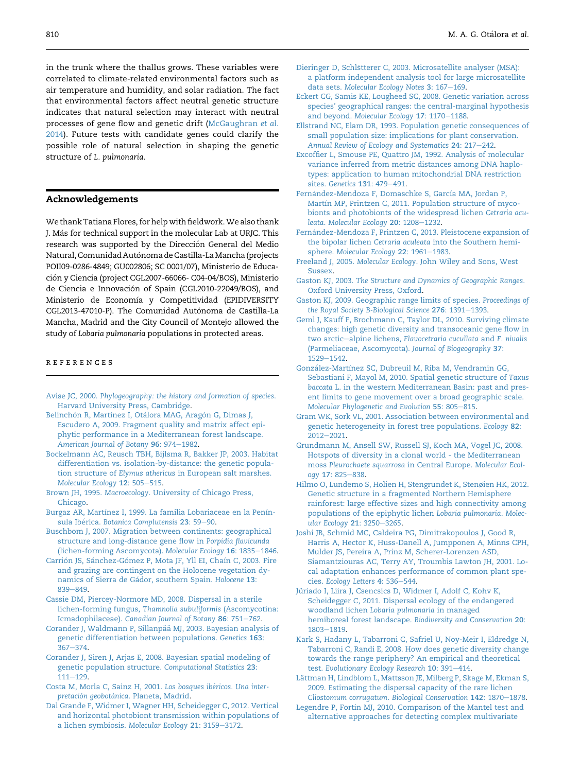<span id="page-8-0"></span>in the trunk where the thallus grows. These variables were correlated to climate-related environmental factors such as air temperature and humidity, and solar radiation. The fact that environmental factors affect neutral genetic structure indicates that natural selection may interact with neutral processes of gene flow and genetic drift ([McGaughran](#page-9-0) et al. [2014](#page-9-0)). Future tests with candidate genes could clarify the possible role of natural selection in shaping the genetic structure of L. pulmonaria.

# Acknowledgements

We thank Tatiana Flores, for help with fieldwork.We also thank J. Más for technical support in the molecular Lab at URJC. This research was supported by the Direccion General del Medio Natural, Comunidad Autónoma de Castilla-La Mancha (projects POII09-0286-4849; GU002806; SC 0001/07), Ministerio de Educacion y Ciencia (project CGL2007-66066- C04-04/BOS), Ministerio de Ciencia e Innovacion of Spain (CGL2010-22049/BOS), and Ministerio de Economía y Competitividad (EPIDIVERSITY CGL2013-47010-P). The Comunidad Autonoma de Castilla-La Mancha, Madrid and the City Council of Montejo allowed the study of Lobaria pulmonaria populations in protected areas.

#### references

- Avise JC, 2000. [Phylogeography: the history and formation of species](http://refhub.elsevier.com/S1878-6146(15)00086-0/sref1). [Harvard University Press, Cambridge](http://refhub.elsevier.com/S1878-6146(15)00086-0/sref1).
- Belinchón R, Martínez I, Otálora MAG, Aragó[n G, Dimas J,](http://refhub.elsevier.com/S1878-6146(15)00086-0/sref2) [Escudero A, 2009. Fragment quality and matrix affect epi](http://refhub.elsevier.com/S1878-6146(15)00086-0/sref2)[phytic performance in a Mediterranean forest landscape.](http://refhub.elsevier.com/S1878-6146(15)00086-0/sref2) [American Journal of Botany](http://refhub.elsevier.com/S1878-6146(15)00086-0/sref2) 96: 974-[1982](http://refhub.elsevier.com/S1878-6146(15)00086-0/sref2).
- [Bockelmann AC, Reusch TBH, Bijlsma R, Bakker JP, 2003. Habitat](http://refhub.elsevier.com/S1878-6146(15)00086-0/sref3) [differentiation vs. isolation-by-distance: the genetic popula](http://refhub.elsevier.com/S1878-6146(15)00086-0/sref3)tion structure of Elymus athericus [in European salt marshes.](http://refhub.elsevier.com/S1878-6146(15)00086-0/sref3) [Molecular Ecology](http://refhub.elsevier.com/S1878-6146(15)00086-0/sref3) 12: 505-[515](http://refhub.elsevier.com/S1878-6146(15)00086-0/sref3).
- Brown JH, 1995. Macroecology[. University of Chicago Press,](http://refhub.elsevier.com/S1878-6146(15)00086-0/sref4) [Chicago](http://refhub.elsevier.com/S1878-6146(15)00086-0/sref4).
- [Burgaz AR, Mart](http://refhub.elsevier.com/S1878-6146(15)00086-0/sref5)í[nez I, 1999. La familia Lobariaceae en la Pen](http://refhub.elsevier.com/S1878-6146(15)00086-0/sref5)ín-sula Ibérica. [Botanica Complutensis](http://refhub.elsevier.com/S1878-6146(15)00086-0/sref5) 23: 59-[90.](http://refhub.elsevier.com/S1878-6146(15)00086-0/sref5)
- [Buschbom J, 2007. Migration between continents: geographical](http://refhub.elsevier.com/S1878-6146(15)00086-0/sref6) [structure and long-distance gene flow in](http://refhub.elsevier.com/S1878-6146(15)00086-0/sref6) Porpidia flavicunda [\(lichen-forming Ascomycota\).](http://refhub.elsevier.com/S1878-6146(15)00086-0/sref6) Molecular Ecology 16: 1835-[1846](http://refhub.elsevier.com/S1878-6146(15)00086-0/sref6).
- [Carri](http://refhub.elsevier.com/S1878-6146(15)00086-0/sref7)ó[n JS, S](http://refhub.elsevier.com/S1878-6146(15)00086-0/sref7)ánchez-Gómez P, Mota JF, Yll EI, Chaín C, 2003. Fire [and grazing are contingent on the Holocene vegetation dy](http://refhub.elsevier.com/S1878-6146(15)00086-0/sref7)namics of Sierra de Gádor, southern Spain. Holocene 13: [839](http://refhub.elsevier.com/S1878-6146(15)00086-0/sref7)-[849.](http://refhub.elsevier.com/S1878-6146(15)00086-0/sref7)
- [Cassie DM, Piercey-Normore MD, 2008. Dispersal in a sterile](http://refhub.elsevier.com/S1878-6146(15)00086-0/sref8) [lichen-forming fungus,](http://refhub.elsevier.com/S1878-6146(15)00086-0/sref8) Thamnolia subuliformis (Ascomycotina: Icmadophilaceae). [Canadian Journal of Botany](http://refhub.elsevier.com/S1878-6146(15)00086-0/sref8) 86: 751-[762.](http://refhub.elsevier.com/S1878-6146(15)00086-0/sref8)
- [Corander J, Waldmann P, Sillanp](http://refhub.elsevier.com/S1878-6146(15)00086-0/sref9)ää [MJ, 2003. Bayesian analysis of](http://refhub.elsevier.com/S1878-6146(15)00086-0/sref9) [genetic differentiation between populations.](http://refhub.elsevier.com/S1878-6146(15)00086-0/sref9) Genetics 163:  $367 - 374.$  $367 - 374.$  $367 - 374.$
- [Corander J, Siren J, Arjas E, 2008. Bayesian spatial modeling of](http://refhub.elsevier.com/S1878-6146(15)00086-0/sref10) [genetic population structure.](http://refhub.elsevier.com/S1878-6146(15)00086-0/sref10) Computational Statistics 23: [111](http://refhub.elsevier.com/S1878-6146(15)00086-0/sref10)-[129.](http://refhub.elsevier.com/S1878-6146(15)00086-0/sref10)
- [Costa M, Morla C, Sainz H, 2001.](http://refhub.elsevier.com/S1878-6146(15)00086-0/sref11) Los bosques ibe[ricos. Una inter](http://refhub.elsevier.com/S1878-6146(15)00086-0/sref11)[pretaci](http://refhub.elsevier.com/S1878-6146(15)00086-0/sref11)ó[n geobot](http://refhub.elsevier.com/S1878-6146(15)00086-0/sref11)ánica[. Planeta, Madrid](http://refhub.elsevier.com/S1878-6146(15)00086-0/sref11).
- [Dal Grande F, Widmer I, Wagner HH, Scheidegger C, 2012. Vertical](http://refhub.elsevier.com/S1878-6146(15)00086-0/sref12) [and horizontal photobiont transmission within populations of](http://refhub.elsevier.com/S1878-6146(15)00086-0/sref12) [a lichen symbiosis.](http://refhub.elsevier.com/S1878-6146(15)00086-0/sref12) Molecular Ecology 21: 3159-[3172.](http://refhub.elsevier.com/S1878-6146(15)00086-0/sref12)
- [Dieringer D, Schl](http://refhub.elsevier.com/S1878-6146(15)00086-0/sref13)s[tterer C, 2003. Microsatellite analyser \(MSA\):](http://refhub.elsevier.com/S1878-6146(15)00086-0/sref13) [a platform independent analysis tool for large microsatellite](http://refhub.elsevier.com/S1878-6146(15)00086-0/sref13) data sets. [Molecular Ecology Notes](http://refhub.elsevier.com/S1878-6146(15)00086-0/sref13) 3: 167-[169.](http://refhub.elsevier.com/S1878-6146(15)00086-0/sref13)
- [Eckert CG, Samis KE, Lougheed SC, 2008. Genetic variation across](http://refhub.elsevier.com/S1878-6146(15)00086-0/sref14) [species' geographical ranges: the central-marginal hypothesis](http://refhub.elsevier.com/S1878-6146(15)00086-0/sref14) and beyond. [Molecular Ecology](http://refhub.elsevier.com/S1878-6146(15)00086-0/sref14) 17: 1170-[1188](http://refhub.elsevier.com/S1878-6146(15)00086-0/sref14).
- [Ellstrand NC, Elam DR, 1993. Population genetic consequences of](http://refhub.elsevier.com/S1878-6146(15)00086-0/sref15) [small population size: implications for plant conservation.](http://refhub.elsevier.com/S1878-6146(15)00086-0/sref15) [Annual Review of Ecology and Systematics](http://refhub.elsevier.com/S1878-6146(15)00086-0/sref15) 24: 217-[242](http://refhub.elsevier.com/S1878-6146(15)00086-0/sref15).
- [Excoffier L, Smouse PE, Quattro JM, 1992. Analysis of molecular](http://refhub.elsevier.com/S1878-6146(15)00086-0/sref16) [variance inferred from metric distances among DNA haplo](http://refhub.elsevier.com/S1878-6146(15)00086-0/sref16)[types: application to human mitochondrial DNA restriction](http://refhub.elsevier.com/S1878-6146(15)00086-0/sref16) sites. [Genetics](http://refhub.elsevier.com/S1878-6146(15)00086-0/sref16) 131: 479-[491](http://refhub.elsevier.com/S1878-6146(15)00086-0/sref16).
- Fernández-Mendoza F, Domaschke S, García MA, Jordan P, [Mart](http://refhub.elsevier.com/S1878-6146(15)00086-0/sref17)í[n MP, Printzen C, 2011. Population structure of myco](http://refhub.elsevier.com/S1878-6146(15)00086-0/sref17)[bionts and photobionts of the widespread lichen](http://refhub.elsevier.com/S1878-6146(15)00086-0/sref17) Cetraria acu-leata. [Molecular Ecology](http://refhub.elsevier.com/S1878-6146(15)00086-0/sref17) 20: 1208-[1232.](http://refhub.elsevier.com/S1878-6146(15)00086-0/sref17)
- Fernández-Mendoza F, Printzen C, 2013. Pleistocene expansion of the bipolar lichen Cetraria aculeata [into the Southern hemi-](http://refhub.elsevier.com/S1878-6146(15)00086-0/sref18)sphere. [Molecular Ecology](http://refhub.elsevier.com/S1878-6146(15)00086-0/sref18) 22: 1961-[1983.](http://refhub.elsevier.com/S1878-6146(15)00086-0/sref18)
- Freeland J, 2005. Molecular Ecology[. John Wiley and Sons, West](http://refhub.elsevier.com/S1878-6146(15)00086-0/sref19) [Sussex.](http://refhub.elsevier.com/S1878-6146(15)00086-0/sref19)
- Gaston KJ, 2003. [The Structure and Dynamics of Geographic Ranges](http://refhub.elsevier.com/S1878-6146(15)00086-0/sref20). [Oxford University Press, Oxford](http://refhub.elsevier.com/S1878-6146(15)00086-0/sref20).
- [Gaston KJ, 2009. Geographic range limits of species.](http://refhub.elsevier.com/S1878-6146(15)00086-0/sref21) Proceedings of [the Royal Society B-Biological Science](http://refhub.elsevier.com/S1878-6146(15)00086-0/sref21) 276: 1391-[1393](http://refhub.elsevier.com/S1878-6146(15)00086-0/sref21).
- [Geml J, Kauff F, Brochmann C, Taylor DL, 2010. Surviving climate](http://refhub.elsevier.com/S1878-6146(15)00086-0/sref22) [changes: high genetic diversity and transoceanic gene flow in](http://refhub.elsevier.com/S1878-6146(15)00086-0/sref22) [two arctic](http://refhub.elsevier.com/S1878-6146(15)00086-0/sref22)-alpine lichens, [Flavocetraria cucullata](http://refhub.elsevier.com/S1878-6146(15)00086-0/sref22) and F. nivalis [\(Parmeliaceae, Ascomycota\).](http://refhub.elsevier.com/S1878-6146(15)00086-0/sref22) Journal of Biogeography 37: [1529](http://refhub.elsevier.com/S1878-6146(15)00086-0/sref22)-[1542.](http://refhub.elsevier.com/S1878-6146(15)00086-0/sref22)
- González-Martí[nez SC, Dubreuil M, Riba M, Vendramin GG,](http://refhub.elsevier.com/S1878-6146(15)00086-0/sref23) [Sebastiani F, Mayol M, 2010. Spatial genetic structure of](http://refhub.elsevier.com/S1878-6146(15)00086-0/sref23) Taxus baccata [L. in the western Mediterranean Basin: past and pres](http://refhub.elsevier.com/S1878-6146(15)00086-0/sref23)[ent limits to gene movement over a broad geographic scale.](http://refhub.elsevier.com/S1878-6146(15)00086-0/sref23) [Molecular Phylogenetic and Evolution](http://refhub.elsevier.com/S1878-6146(15)00086-0/sref23) 55: 805-[815.](http://refhub.elsevier.com/S1878-6146(15)00086-0/sref23)
- [Gram WK, Sork VL, 2001. Association between environmental and](http://refhub.elsevier.com/S1878-6146(15)00086-0/sref24) [genetic heterogeneity in forest tree populations.](http://refhub.elsevier.com/S1878-6146(15)00086-0/sref24) Ecology 82:  $2012 - 2021$  $2012 - 2021$ .
- [Grundmann M, Ansell SW, Russell SJ, Koch MA, Vogel JC, 2008.](http://refhub.elsevier.com/S1878-6146(15)00086-0/sref25) [Hotspots of diversity in a clonal world - the Mediterranean](http://refhub.elsevier.com/S1878-6146(15)00086-0/sref25) moss [Pleurochaete squarrosa](http://refhub.elsevier.com/S1878-6146(15)00086-0/sref25) in Central Europe. Molecular Ecol-ogy 17[: 825](http://refhub.elsevier.com/S1878-6146(15)00086-0/sref25)-[838](http://refhub.elsevier.com/S1878-6146(15)00086-0/sref25).
- [Hilmo O, Lundemo S, Holien H, Stengrundet K, Stenøien HK, 2012.](http://refhub.elsevier.com/S1878-6146(15)00086-0/sref26) [Genetic structure in a fragmented Northern Hemisphere](http://refhub.elsevier.com/S1878-6146(15)00086-0/sref26) [rainforest: large effective sizes and high connectivity among](http://refhub.elsevier.com/S1878-6146(15)00086-0/sref26) [populations of the epiphytic lichen](http://refhub.elsevier.com/S1878-6146(15)00086-0/sref26) Lobaria pulmonaria. Molec[ular Ecology](http://refhub.elsevier.com/S1878-6146(15)00086-0/sref26) 21: 3250-[3265](http://refhub.elsevier.com/S1878-6146(15)00086-0/sref26).
- [Joshi JB, Schmid MC, Caldeira PG, Dimitrakopoulos J, Good R,](http://refhub.elsevier.com/S1878-6146(15)00086-0/sref27) [Harris A, Hector K, Huss-Danell A, Jumpponen A, Minns CPH,](http://refhub.elsevier.com/S1878-6146(15)00086-0/sref27) [Mulder JS, Pereira A, Prinz M, Scherer-Lorenzen ASD,](http://refhub.elsevier.com/S1878-6146(15)00086-0/sref27) [Siamantziouras AC, Terry AY, Troumbis Lawton JH, 2001. Lo](http://refhub.elsevier.com/S1878-6146(15)00086-0/sref27)[cal adaptation enhances performance of common plant spe-](http://refhub.elsevier.com/S1878-6146(15)00086-0/sref27)cies. [Ecology Letters](http://refhub.elsevier.com/S1878-6146(15)00086-0/sref27) 4: 536-[544](http://refhub.elsevier.com/S1878-6146(15)00086-0/sref27).
- Jüriado I, Liira J, Csencsics D, Widmer I, Adolf C, Kohv K, [Scheidegger C, 2011. Dispersal ecology of the endangered](http://refhub.elsevier.com/S1878-6146(15)00086-0/sref28) woodland lichen [Lobaria pulmonaria](http://refhub.elsevier.com/S1878-6146(15)00086-0/sref28) in managed [hemiboreal forest landscape.](http://refhub.elsevier.com/S1878-6146(15)00086-0/sref28) Biodiversity and Conservation 20: [1803](http://refhub.elsevier.com/S1878-6146(15)00086-0/sref28)-[1819.](http://refhub.elsevier.com/S1878-6146(15)00086-0/sref28)
- [Kark S, Hadany L, Tabarroni C, Safriel U, Noy-Meir I, Eldredge N,](http://refhub.elsevier.com/S1878-6146(15)00086-0/sref29) [Tabarroni C, Randi E, 2008. How does genetic diversity change](http://refhub.elsevier.com/S1878-6146(15)00086-0/sref29) [towards the range periphery? An empirical and theoretical](http://refhub.elsevier.com/S1878-6146(15)00086-0/sref29) test. [Evolutionary Ecology Research](http://refhub.elsevier.com/S1878-6146(15)00086-0/sref29) 10: 391-[414](http://refhub.elsevier.com/S1878-6146(15)00086-0/sref29).
- [L](http://refhub.elsevier.com/S1878-6146(15)00086-0/sref30)ä[ttman H, Lindblom L, Mattsson JE, Milberg P, Skage M, Ekman S,](http://refhub.elsevier.com/S1878-6146(15)00086-0/sref30) [2009. Estimating the dispersal capacity of the rare lichen](http://refhub.elsevier.com/S1878-6146(15)00086-0/sref30) [Cliostomum corrugatum](http://refhub.elsevier.com/S1878-6146(15)00086-0/sref30). Biological Conservation 142: 1870-[1878.](http://refhub.elsevier.com/S1878-6146(15)00086-0/sref30)
- [Legendre P, Fortin MJ, 2010. Comparison of the Mantel test and](http://refhub.elsevier.com/S1878-6146(15)00086-0/sref31) [alternative approaches for detecting complex multivariate](http://refhub.elsevier.com/S1878-6146(15)00086-0/sref31)